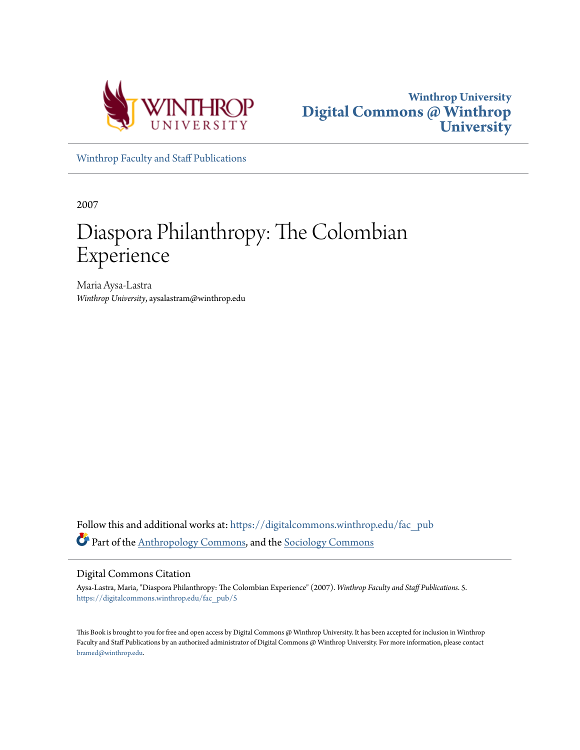



[Winthrop Faculty and Staff Publications](https://digitalcommons.winthrop.edu/fac_pub?utm_source=digitalcommons.winthrop.edu%2Ffac_pub%2F5&utm_medium=PDF&utm_campaign=PDFCoverPages)

2007

# Diaspora Philanthropy: The Colombian Experience

Maria Aysa-Lastra *Winthrop University*, aysalastram@winthrop.edu

Follow this and additional works at: [https://digitalcommons.winthrop.edu/fac\\_pub](https://digitalcommons.winthrop.edu/fac_pub?utm_source=digitalcommons.winthrop.edu%2Ffac_pub%2F5&utm_medium=PDF&utm_campaign=PDFCoverPages) Part of the [Anthropology Commons](http://network.bepress.com/hgg/discipline/318?utm_source=digitalcommons.winthrop.edu%2Ffac_pub%2F5&utm_medium=PDF&utm_campaign=PDFCoverPages), and the [Sociology Commons](http://network.bepress.com/hgg/discipline/416?utm_source=digitalcommons.winthrop.edu%2Ffac_pub%2F5&utm_medium=PDF&utm_campaign=PDFCoverPages)

#### Digital Commons Citation

Aysa-Lastra, Maria, "Diaspora Philanthropy: The Colombian Experience" (2007). *Winthrop Faculty and Staff Publications*. 5. [https://digitalcommons.winthrop.edu/fac\\_pub/5](https://digitalcommons.winthrop.edu/fac_pub/5?utm_source=digitalcommons.winthrop.edu%2Ffac_pub%2F5&utm_medium=PDF&utm_campaign=PDFCoverPages)

This Book is brought to you for free and open access by Digital Commons @ Winthrop University. It has been accepted for inclusion in Winthrop Faculty and Staff Publications by an authorized administrator of Digital Commons @ Winthrop University. For more information, please contact [bramed@winthrop.edu.](mailto:bramed@winthrop.edu)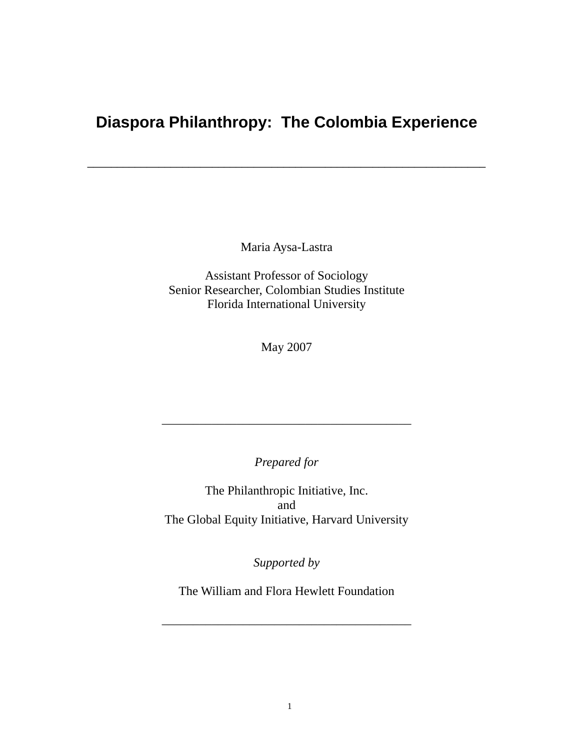# **Diaspora Philanthropy: The Colombia Experience**

\_\_\_\_\_\_\_\_\_\_\_\_\_\_\_\_\_\_\_\_\_\_\_\_\_\_\_\_\_\_\_\_\_\_\_\_\_\_\_\_\_\_\_\_\_\_\_\_\_\_\_\_\_\_\_\_\_\_\_\_\_\_\_\_\_\_\_

Maria Aysa-Lastra

Assistant Professor of Sociology Senior Researcher, Colombian Studies Institute Florida International University

May 2007

*Prepared for* 

\_\_\_\_\_\_\_\_\_\_\_\_\_\_\_\_\_\_\_\_\_\_\_\_\_\_\_\_\_\_\_\_\_\_\_\_\_\_\_\_

The Philanthropic Initiative, Inc. and The Global Equity Initiative, Harvard University

*Supported by* 

The William and Flora Hewlett Foundation

\_\_\_\_\_\_\_\_\_\_\_\_\_\_\_\_\_\_\_\_\_\_\_\_\_\_\_\_\_\_\_\_\_\_\_\_\_\_\_\_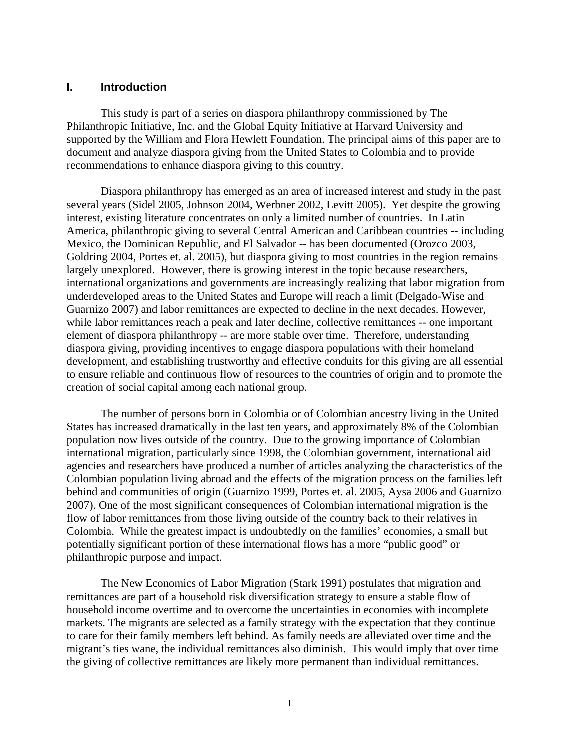#### **I. Introduction**

This study is part of a series on diaspora philanthropy commissioned by The Philanthropic Initiative, Inc. and the Global Equity Initiative at Harvard University and supported by the William and Flora Hewlett Foundation. The principal aims of this paper are to document and analyze diaspora giving from the United States to Colombia and to provide recommendations to enhance diaspora giving to this country.

Diaspora philanthropy has emerged as an area of increased interest and study in the past several years (Sidel 2005, Johnson 2004, Werbner 2002, Levitt 2005). Yet despite the growing interest, existing literature concentrates on only a limited number of countries. In Latin America, philanthropic giving to several Central American and Caribbean countries -- including Mexico, the Dominican Republic, and El Salvador -- has been documented (Orozco 2003, Goldring 2004, Portes et. al. 2005), but diaspora giving to most countries in the region remains largely unexplored. However, there is growing interest in the topic because researchers, international organizations and governments are increasingly realizing that labor migration from underdeveloped areas to the United States and Europe will reach a limit (Delgado-Wise and Guarnizo 2007) and labor remittances are expected to decline in the next decades. However, while labor remittances reach a peak and later decline, collective remittances -- one important element of diaspora philanthropy -- are more stable over time. Therefore, understanding diaspora giving, providing incentives to engage diaspora populations with their homeland development, and establishing trustworthy and effective conduits for this giving are all essential to ensure reliable and continuous flow of resources to the countries of origin and to promote the creation of social capital among each national group.

The number of persons born in Colombia or of Colombian ancestry living in the United States has increased dramatically in the last ten years, and approximately 8% of the Colombian population now lives outside of the country. Due to the growing importance of Colombian international migration, particularly since 1998, the Colombian government, international aid agencies and researchers have produced a number of articles analyzing the characteristics of the Colombian population living abroad and the effects of the migration process on the families left behind and communities of origin (Guarnizo 1999, Portes et. al. 2005, Aysa 2006 and Guarnizo 2007). One of the most significant consequences of Colombian international migration is the flow of labor remittances from those living outside of the country back to their relatives in Colombia. While the greatest impact is undoubtedly on the families' economies, a small but potentially significant portion of these international flows has a more "public good" or philanthropic purpose and impact.

The New Economics of Labor Migration (Stark 1991) postulates that migration and remittances are part of a household risk diversification strategy to ensure a stable flow of household income overtime and to overcome the uncertainties in economies with incomplete markets. The migrants are selected as a family strategy with the expectation that they continue to care for their family members left behind. As family needs are alleviated over time and the migrant's ties wane, the individual remittances also diminish. This would imply that over time the giving of collective remittances are likely more permanent than individual remittances.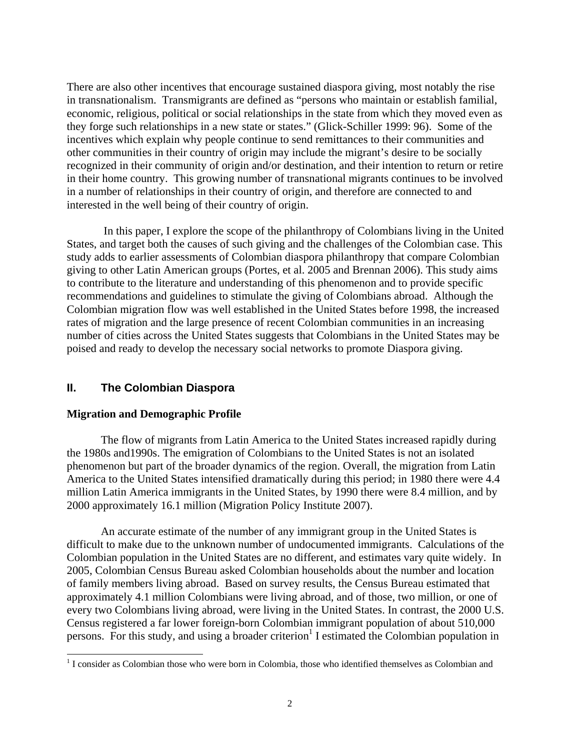There are also other incentives that encourage sustained diaspora giving, most notably the rise in transnationalism. Transmigrants are defined as "persons who maintain or establish familial, economic, religious, political or social relationships in the state from which they moved even as they forge such relationships in a new state or states." (Glick-Schiller 1999: 96). Some of the incentives which explain why people continue to send remittances to their communities and other communities in their country of origin may include the migrant's desire to be socially recognized in their community of origin and/or destination, and their intention to return or retire in their home country. This growing number of transnational migrants continues to be involved in a number of relationships in their country of origin, and therefore are connected to and interested in the well being of their country of origin.

 In this paper, I explore the scope of the philanthropy of Colombians living in the United States, and target both the causes of such giving and the challenges of the Colombian case. This study adds to earlier assessments of Colombian diaspora philanthropy that compare Colombian giving to other Latin American groups (Portes, et al. 2005 and Brennan 2006). This study aims to contribute to the literature and understanding of this phenomenon and to provide specific recommendations and guidelines to stimulate the giving of Colombians abroad. Although the Colombian migration flow was well established in the United States before 1998, the increased rates of migration and the large presence of recent Colombian communities in an increasing number of cities across the United States suggests that Colombians in the United States may be poised and ready to develop the necessary social networks to promote Diaspora giving.

# **II. The Colombian Diaspora**

#### **Migration and Demographic Profile**

The flow of migrants from Latin America to the United States increased rapidly during the 1980s and1990s. The emigration of Colombians to the United States is not an isolated phenomenon but part of the broader dynamics of the region. Overall, the migration from Latin America to the United States intensified dramatically during this period; in 1980 there were 4.4 million Latin America immigrants in the United States, by 1990 there were 8.4 million, and by 2000 approximately 16.1 million (Migration Policy Institute 2007).

An accurate estimate of the number of any immigrant group in the United States is difficult to make due to the unknown number of undocumented immigrants. Calculations of the Colombian population in the United States are no different, and estimates vary quite widely. In 2005, Colombian Census Bureau asked Colombian households about the number and location of family members living abroad. Based on survey results, the Census Bureau estimated that approximately 4.1 million Colombians were living abroad, and of those, two million, or one of every two Colombians living abroad, were living in the United States. In contrast, the 2000 U.S. Census registered a far lower foreign-born Colombian immigrant population of about 510,000 persons. For this study, and using a broader criterion<sup>1</sup> I estimated the Colombian population in

<sup>&</sup>lt;sup>1</sup> I consider as Colombian those who were born in Colombia, those who identified themselves as Colombian and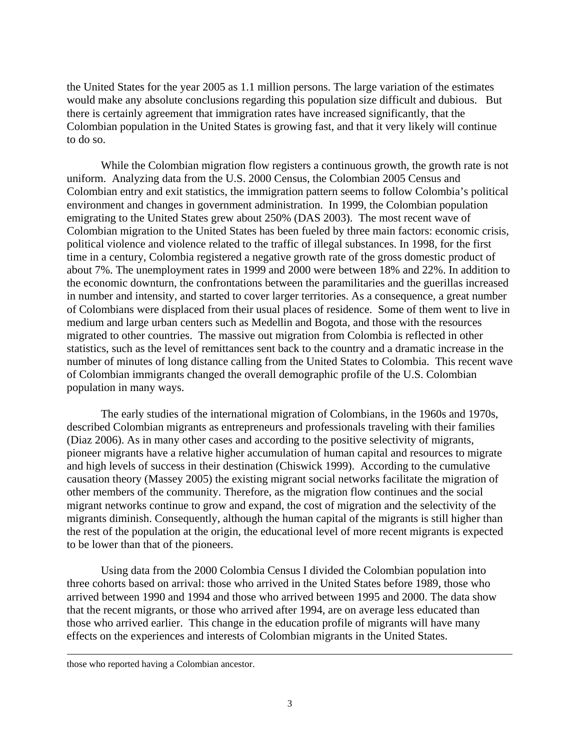the United States for the year 2005 as 1.1 million persons. The large variation of the estimates would make any absolute conclusions regarding this population size difficult and dubious. But there is certainly agreement that immigration rates have increased significantly, that the Colombian population in the United States is growing fast, and that it very likely will continue to do so.

While the Colombian migration flow registers a continuous growth, the growth rate is not uniform. Analyzing data from the U.S. 2000 Census, the Colombian 2005 Census and Colombian entry and exit statistics, the immigration pattern seems to follow Colombia's political environment and changes in government administration. In 1999, the Colombian population emigrating to the United States grew about 250% (DAS 2003). The most recent wave of Colombian migration to the United States has been fueled by three main factors: economic crisis, political violence and violence related to the traffic of illegal substances. In 1998, for the first time in a century, Colombia registered a negative growth rate of the gross domestic product of about 7%. The unemployment rates in 1999 and 2000 were between 18% and 22%. In addition to the economic downturn, the confrontations between the paramilitaries and the guerillas increased in number and intensity, and started to cover larger territories. As a consequence, a great number of Colombians were displaced from their usual places of residence. Some of them went to live in medium and large urban centers such as Medellin and Bogota, and those with the resources migrated to other countries. The massive out migration from Colombia is reflected in other statistics, such as the level of remittances sent back to the country and a dramatic increase in the number of minutes of long distance calling from the United States to Colombia. This recent wave of Colombian immigrants changed the overall demographic profile of the U.S. Colombian population in many ways.

The early studies of the international migration of Colombians, in the 1960s and 1970s, described Colombian migrants as entrepreneurs and professionals traveling with their families (Diaz 2006). As in many other cases and according to the positive selectivity of migrants, pioneer migrants have a relative higher accumulation of human capital and resources to migrate and high levels of success in their destination (Chiswick 1999). According to the cumulative causation theory (Massey 2005) the existing migrant social networks facilitate the migration of other members of the community. Therefore, as the migration flow continues and the social migrant networks continue to grow and expand, the cost of migration and the selectivity of the migrants diminish. Consequently, although the human capital of the migrants is still higher than the rest of the population at the origin, the educational level of more recent migrants is expected to be lower than that of the pioneers.

Using data from the 2000 Colombia Census I divided the Colombian population into three cohorts based on arrival: those who arrived in the United States before 1989, those who arrived between 1990 and 1994 and those who arrived between 1995 and 2000. The data show that the recent migrants, or those who arrived after 1994, are on average less educated than those who arrived earlier. This change in the education profile of migrants will have many effects on the experiences and interests of Colombian migrants in the United States.

 $\overline{a}$ 

those who reported having a Colombian ancestor.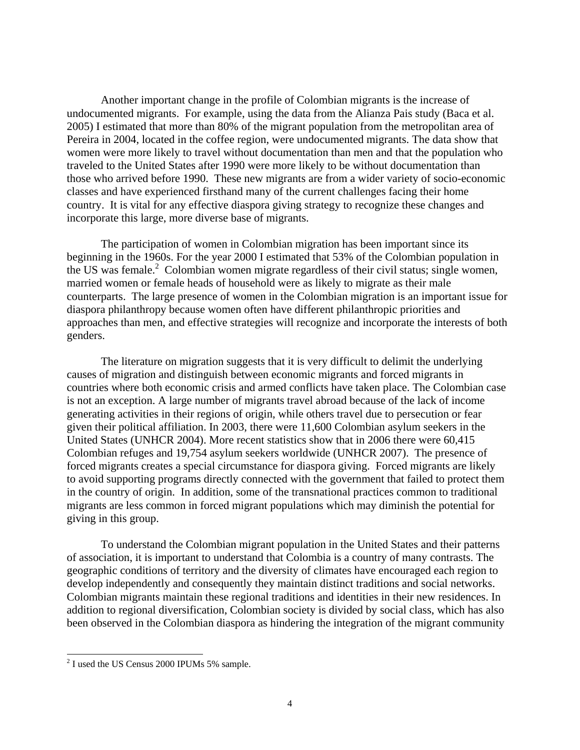Another important change in the profile of Colombian migrants is the increase of undocumented migrants. For example, using the data from the Alianza Pais study (Baca et al. 2005) I estimated that more than 80% of the migrant population from the metropolitan area of Pereira in 2004, located in the coffee region, were undocumented migrants. The data show that women were more likely to travel without documentation than men and that the population who traveled to the United States after 1990 were more likely to be without documentation than those who arrived before 1990. These new migrants are from a wider variety of socio-economic classes and have experienced firsthand many of the current challenges facing their home country. It is vital for any effective diaspora giving strategy to recognize these changes and incorporate this large, more diverse base of migrants.

The participation of women in Colombian migration has been important since its beginning in the 1960s. For the year 2000 I estimated that 53% of the Colombian population in the US was female. $2$  Colombian women migrate regardless of their civil status; single women, married women or female heads of household were as likely to migrate as their male counterparts. The large presence of women in the Colombian migration is an important issue for diaspora philanthropy because women often have different philanthropic priorities and approaches than men, and effective strategies will recognize and incorporate the interests of both genders.

The literature on migration suggests that it is very difficult to delimit the underlying causes of migration and distinguish between economic migrants and forced migrants in countries where both economic crisis and armed conflicts have taken place. The Colombian case is not an exception. A large number of migrants travel abroad because of the lack of income generating activities in their regions of origin, while others travel due to persecution or fear given their political affiliation. In 2003, there were 11,600 Colombian asylum seekers in the United States (UNHCR 2004). More recent statistics show that in 2006 there were 60,415 Colombian refuges and 19,754 asylum seekers worldwide (UNHCR 2007). The presence of forced migrants creates a special circumstance for diaspora giving. Forced migrants are likely to avoid supporting programs directly connected with the government that failed to protect them in the country of origin. In addition, some of the transnational practices common to traditional migrants are less common in forced migrant populations which may diminish the potential for giving in this group.

To understand the Colombian migrant population in the United States and their patterns of association, it is important to understand that Colombia is a country of many contrasts. The geographic conditions of territory and the diversity of climates have encouraged each region to develop independently and consequently they maintain distinct traditions and social networks. Colombian migrants maintain these regional traditions and identities in their new residences. In addition to regional diversification, Colombian society is divided by social class, which has also been observed in the Colombian diaspora as hindering the integration of the migrant community

<sup>&</sup>lt;sup>2</sup> I used the US Census 2000 IPUMs 5% sample.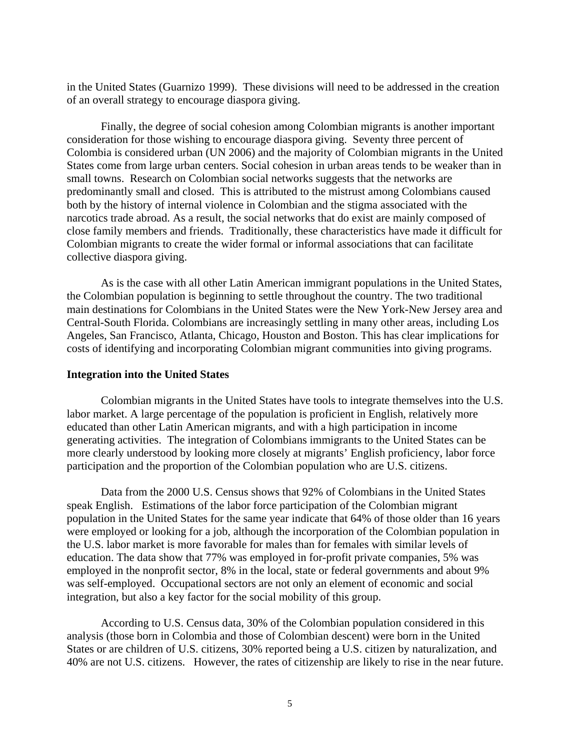in the United States (Guarnizo 1999). These divisions will need to be addressed in the creation of an overall strategy to encourage diaspora giving.

Finally, the degree of social cohesion among Colombian migrants is another important consideration for those wishing to encourage diaspora giving. Seventy three percent of Colombia is considered urban (UN 2006) and the majority of Colombian migrants in the United States come from large urban centers. Social cohesion in urban areas tends to be weaker than in small towns. Research on Colombian social networks suggests that the networks are predominantly small and closed. This is attributed to the mistrust among Colombians caused both by the history of internal violence in Colombian and the stigma associated with the narcotics trade abroad. As a result, the social networks that do exist are mainly composed of close family members and friends. Traditionally, these characteristics have made it difficult for Colombian migrants to create the wider formal or informal associations that can facilitate collective diaspora giving.

As is the case with all other Latin American immigrant populations in the United States, the Colombian population is beginning to settle throughout the country. The two traditional main destinations for Colombians in the United States were the New York-New Jersey area and Central-South Florida. Colombians are increasingly settling in many other areas, including Los Angeles, San Francisco, Atlanta, Chicago, Houston and Boston. This has clear implications for costs of identifying and incorporating Colombian migrant communities into giving programs.

#### **Integration into the United States**

Colombian migrants in the United States have tools to integrate themselves into the U.S. labor market. A large percentage of the population is proficient in English, relatively more educated than other Latin American migrants, and with a high participation in income generating activities. The integration of Colombians immigrants to the United States can be more clearly understood by looking more closely at migrants' English proficiency, labor force participation and the proportion of the Colombian population who are U.S. citizens.

Data from the 2000 U.S. Census shows that 92% of Colombians in the United States speak English. Estimations of the labor force participation of the Colombian migrant population in the United States for the same year indicate that 64% of those older than 16 years were employed or looking for a job, although the incorporation of the Colombian population in the U.S. labor market is more favorable for males than for females with similar levels of education. The data show that 77% was employed in for-profit private companies, 5% was employed in the nonprofit sector, 8% in the local, state or federal governments and about 9% was self-employed. Occupational sectors are not only an element of economic and social integration, but also a key factor for the social mobility of this group.

According to U.S. Census data, 30% of the Colombian population considered in this analysis (those born in Colombia and those of Colombian descent) were born in the United States or are children of U.S. citizens, 30% reported being a U.S. citizen by naturalization, and 40% are not U.S. citizens. However, the rates of citizenship are likely to rise in the near future.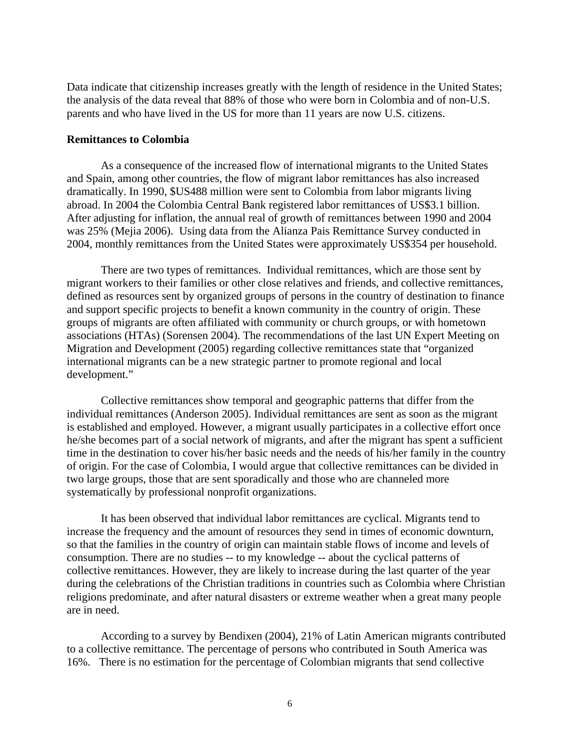Data indicate that citizenship increases greatly with the length of residence in the United States; the analysis of the data reveal that 88% of those who were born in Colombia and of non-U.S. parents and who have lived in the US for more than 11 years are now U.S. citizens.

#### **Remittances to Colombia**

As a consequence of the increased flow of international migrants to the United States and Spain, among other countries, the flow of migrant labor remittances has also increased dramatically. In 1990, \$US488 million were sent to Colombia from labor migrants living abroad. In 2004 the Colombia Central Bank registered labor remittances of US\$3.1 billion. After adjusting for inflation, the annual real of growth of remittances between 1990 and 2004 was 25% (Mejia 2006). Using data from the Alianza Pais Remittance Survey conducted in 2004, monthly remittances from the United States were approximately US\$354 per household.

There are two types of remittances. Individual remittances, which are those sent by migrant workers to their families or other close relatives and friends, and collective remittances, defined as resources sent by organized groups of persons in the country of destination to finance and support specific projects to benefit a known community in the country of origin. These groups of migrants are often affiliated with community or church groups, or with hometown associations (HTAs) (Sorensen 2004). The recommendations of the last UN Expert Meeting on Migration and Development (2005) regarding collective remittances state that "organized international migrants can be a new strategic partner to promote regional and local development."

Collective remittances show temporal and geographic patterns that differ from the individual remittances (Anderson 2005). Individual remittances are sent as soon as the migrant is established and employed. However, a migrant usually participates in a collective effort once he/she becomes part of a social network of migrants, and after the migrant has spent a sufficient time in the destination to cover his/her basic needs and the needs of his/her family in the country of origin. For the case of Colombia, I would argue that collective remittances can be divided in two large groups, those that are sent sporadically and those who are channeled more systematically by professional nonprofit organizations.

It has been observed that individual labor remittances are cyclical. Migrants tend to increase the frequency and the amount of resources they send in times of economic downturn, so that the families in the country of origin can maintain stable flows of income and levels of consumption. There are no studies -- to my knowledge -- about the cyclical patterns of collective remittances. However, they are likely to increase during the last quarter of the year during the celebrations of the Christian traditions in countries such as Colombia where Christian religions predominate, and after natural disasters or extreme weather when a great many people are in need.

According to a survey by Bendixen (2004), 21% of Latin American migrants contributed to a collective remittance. The percentage of persons who contributed in South America was 16%. There is no estimation for the percentage of Colombian migrants that send collective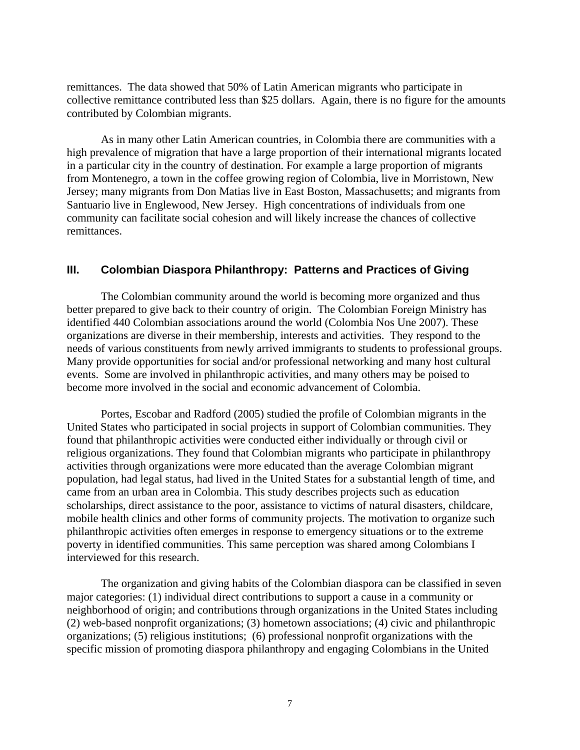remittances. The data showed that 50% of Latin American migrants who participate in collective remittance contributed less than \$25 dollars. Again, there is no figure for the amounts contributed by Colombian migrants.

As in many other Latin American countries, in Colombia there are communities with a high prevalence of migration that have a large proportion of their international migrants located in a particular city in the country of destination. For example a large proportion of migrants from Montenegro, a town in the coffee growing region of Colombia, live in Morristown, New Jersey; many migrants from Don Matias live in East Boston, Massachusetts; and migrants from Santuario live in Englewood, New Jersey. High concentrations of individuals from one community can facilitate social cohesion and will likely increase the chances of collective remittances.

#### **III. Colombian Diaspora Philanthropy: Patterns and Practices of Giving**

The Colombian community around the world is becoming more organized and thus better prepared to give back to their country of origin. The Colombian Foreign Ministry has identified 440 Colombian associations around the world (Colombia Nos Une 2007). These organizations are diverse in their membership, interests and activities. They respond to the needs of various constituents from newly arrived immigrants to students to professional groups. Many provide opportunities for social and/or professional networking and many host cultural events. Some are involved in philanthropic activities, and many others may be poised to become more involved in the social and economic advancement of Colombia.

Portes, Escobar and Radford (2005) studied the profile of Colombian migrants in the United States who participated in social projects in support of Colombian communities. They found that philanthropic activities were conducted either individually or through civil or religious organizations. They found that Colombian migrants who participate in philanthropy activities through organizations were more educated than the average Colombian migrant population, had legal status, had lived in the United States for a substantial length of time, and came from an urban area in Colombia. This study describes projects such as education scholarships, direct assistance to the poor, assistance to victims of natural disasters, childcare, mobile health clinics and other forms of community projects. The motivation to organize such philanthropic activities often emerges in response to emergency situations or to the extreme poverty in identified communities. This same perception was shared among Colombians I interviewed for this research.

The organization and giving habits of the Colombian diaspora can be classified in seven major categories: (1) individual direct contributions to support a cause in a community or neighborhood of origin; and contributions through organizations in the United States including (2) web-based nonprofit organizations; (3) hometown associations; (4) civic and philanthropic organizations; (5) religious institutions; (6) professional nonprofit organizations with the specific mission of promoting diaspora philanthropy and engaging Colombians in the United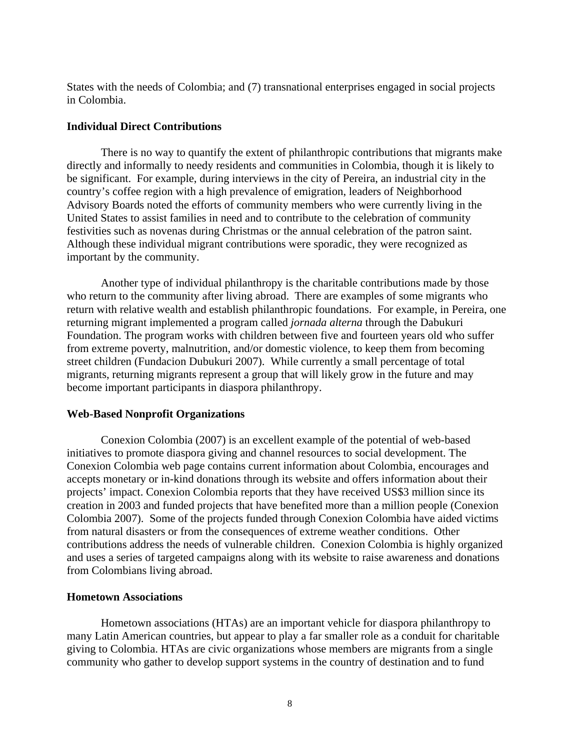States with the needs of Colombia; and (7) transnational enterprises engaged in social projects in Colombia.

#### **Individual Direct Contributions**

There is no way to quantify the extent of philanthropic contributions that migrants make directly and informally to needy residents and communities in Colombia, though it is likely to be significant. For example, during interviews in the city of Pereira, an industrial city in the country's coffee region with a high prevalence of emigration, leaders of Neighborhood Advisory Boards noted the efforts of community members who were currently living in the United States to assist families in need and to contribute to the celebration of community festivities such as novenas during Christmas or the annual celebration of the patron saint. Although these individual migrant contributions were sporadic, they were recognized as important by the community.

Another type of individual philanthropy is the charitable contributions made by those who return to the community after living abroad. There are examples of some migrants who return with relative wealth and establish philanthropic foundations. For example, in Pereira, one returning migrant implemented a program called *jornada alterna* through the Dabukuri Foundation. The program works with children between five and fourteen years old who suffer from extreme poverty, malnutrition, and/or domestic violence, to keep them from becoming street children (Fundacion Dubukuri 2007). While currently a small percentage of total migrants, returning migrants represent a group that will likely grow in the future and may become important participants in diaspora philanthropy.

#### **Web-Based Nonprofit Organizations**

Conexion Colombia (2007) is an excellent example of the potential of web-based initiatives to promote diaspora giving and channel resources to social development. The Conexion Colombia web page contains current information about Colombia, encourages and accepts monetary or in-kind donations through its website and offers information about their projects' impact. Conexion Colombia reports that they have received US\$3 million since its creation in 2003 and funded projects that have benefited more than a million people (Conexion Colombia 2007). Some of the projects funded through Conexion Colombia have aided victims from natural disasters or from the consequences of extreme weather conditions. Other contributions address the needs of vulnerable children. Conexion Colombia is highly organized and uses a series of targeted campaigns along with its website to raise awareness and donations from Colombians living abroad.

#### **Hometown Associations**

Hometown associations (HTAs) are an important vehicle for diaspora philanthropy to many Latin American countries, but appear to play a far smaller role as a conduit for charitable giving to Colombia. HTAs are civic organizations whose members are migrants from a single community who gather to develop support systems in the country of destination and to fund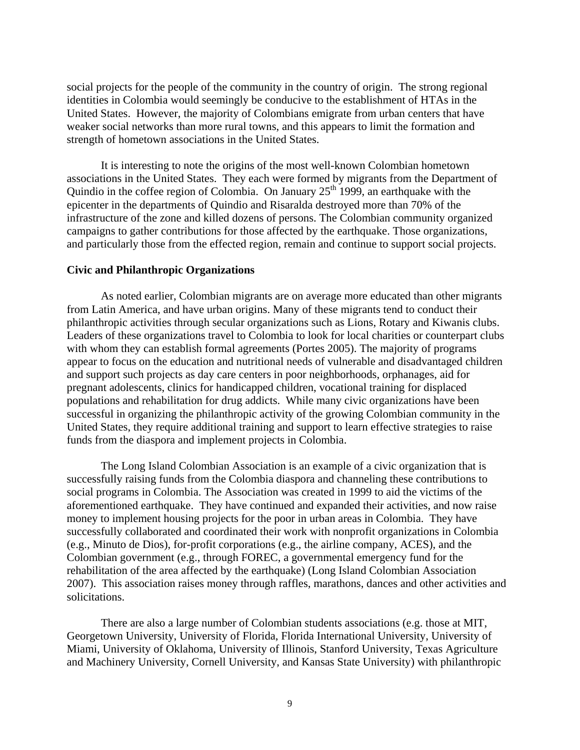social projects for the people of the community in the country of origin. The strong regional identities in Colombia would seemingly be conducive to the establishment of HTAs in the United States. However, the majority of Colombians emigrate from urban centers that have weaker social networks than more rural towns, and this appears to limit the formation and strength of hometown associations in the United States.

It is interesting to note the origins of the most well-known Colombian hometown associations in the United States. They each were formed by migrants from the Department of Quindio in the coffee region of Colombia. On January  $25<sup>th</sup>$  1999, an earthquake with the epicenter in the departments of Quindio and Risaralda destroyed more than 70% of the infrastructure of the zone and killed dozens of persons. The Colombian community organized campaigns to gather contributions for those affected by the earthquake. Those organizations, and particularly those from the effected region, remain and continue to support social projects.

#### **Civic and Philanthropic Organizations**

As noted earlier, Colombian migrants are on average more educated than other migrants from Latin America, and have urban origins. Many of these migrants tend to conduct their philanthropic activities through secular organizations such as Lions, Rotary and Kiwanis clubs. Leaders of these organizations travel to Colombia to look for local charities or counterpart clubs with whom they can establish formal agreements (Portes 2005). The majority of programs appear to focus on the education and nutritional needs of vulnerable and disadvantaged children and support such projects as day care centers in poor neighborhoods, orphanages, aid for pregnant adolescents, clinics for handicapped children, vocational training for displaced populations and rehabilitation for drug addicts. While many civic organizations have been successful in organizing the philanthropic activity of the growing Colombian community in the United States, they require additional training and support to learn effective strategies to raise funds from the diaspora and implement projects in Colombia.

The Long Island Colombian Association is an example of a civic organization that is successfully raising funds from the Colombia diaspora and channeling these contributions to social programs in Colombia. The Association was created in 1999 to aid the victims of the aforementioned earthquake. They have continued and expanded their activities, and now raise money to implement housing projects for the poor in urban areas in Colombia. They have successfully collaborated and coordinated their work with nonprofit organizations in Colombia (e.g., Minuto de Dios), for-profit corporations (e.g., the airline company, ACES), and the Colombian government (e.g., through FOREC, a governmental emergency fund for the rehabilitation of the area affected by the earthquake) (Long Island Colombian Association 2007). This association raises money through raffles, marathons, dances and other activities and solicitations.

There are also a large number of Colombian students associations (e.g. those at MIT, Georgetown University, University of Florida, Florida International University, University of Miami, University of Oklahoma, University of Illinois, Stanford University, Texas Agriculture and Machinery University, Cornell University, and Kansas State University) with philanthropic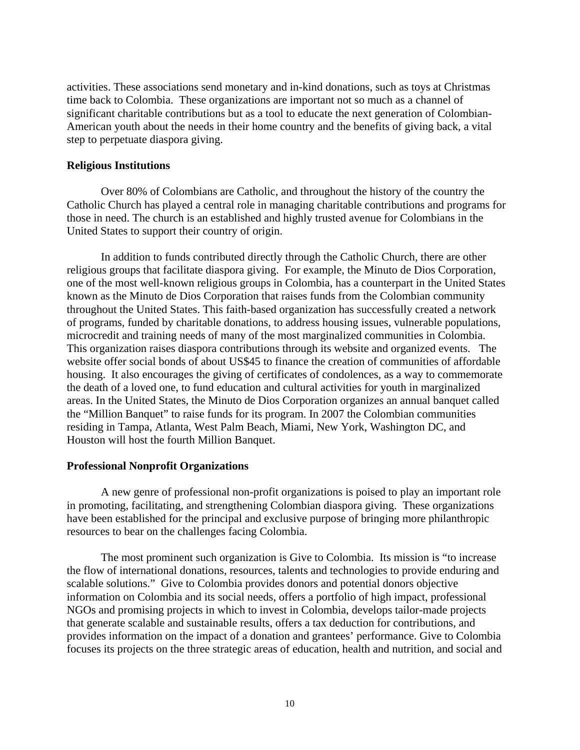activities. These associations send monetary and in-kind donations, such as toys at Christmas time back to Colombia. These organizations are important not so much as a channel of significant charitable contributions but as a tool to educate the next generation of Colombian-American youth about the needs in their home country and the benefits of giving back, a vital step to perpetuate diaspora giving.

#### **Religious Institutions**

Over 80% of Colombians are Catholic, and throughout the history of the country the Catholic Church has played a central role in managing charitable contributions and programs for those in need. The church is an established and highly trusted avenue for Colombians in the United States to support their country of origin.

In addition to funds contributed directly through the Catholic Church, there are other religious groups that facilitate diaspora giving. For example, the Minuto de Dios Corporation, one of the most well-known religious groups in Colombia, has a counterpart in the United States known as the Minuto de Dios Corporation that raises funds from the Colombian community throughout the United States. This faith-based organization has successfully created a network of programs, funded by charitable donations, to address housing issues, vulnerable populations, microcredit and training needs of many of the most marginalized communities in Colombia. This organization raises diaspora contributions through its website and organized events. The website offer social bonds of about US\$45 to finance the creation of communities of affordable housing. It also encourages the giving of certificates of condolences, as a way to commemorate the death of a loved one, to fund education and cultural activities for youth in marginalized areas. In the United States, the Minuto de Dios Corporation organizes an annual banquet called the "Million Banquet" to raise funds for its program. In 2007 the Colombian communities residing in Tampa, Atlanta, West Palm Beach, Miami, New York, Washington DC, and Houston will host the fourth Million Banquet.

#### **Professional Nonprofit Organizations**

A new genre of professional non-profit organizations is poised to play an important role in promoting, facilitating, and strengthening Colombian diaspora giving. These organizations have been established for the principal and exclusive purpose of bringing more philanthropic resources to bear on the challenges facing Colombia.

The most prominent such organization is Give to Colombia. Its mission is "to increase the flow of international donations, resources, talents and technologies to provide enduring and scalable solutions." Give to Colombia provides donors and potential donors objective information on Colombia and its social needs, offers a portfolio of high impact, professional NGOs and promising projects in which to invest in Colombia, develops tailor-made projects that generate scalable and sustainable results, offers a tax deduction for contributions, and provides information on the impact of a donation and grantees' performance. Give to Colombia focuses its projects on the three strategic areas of education, health and nutrition, and social and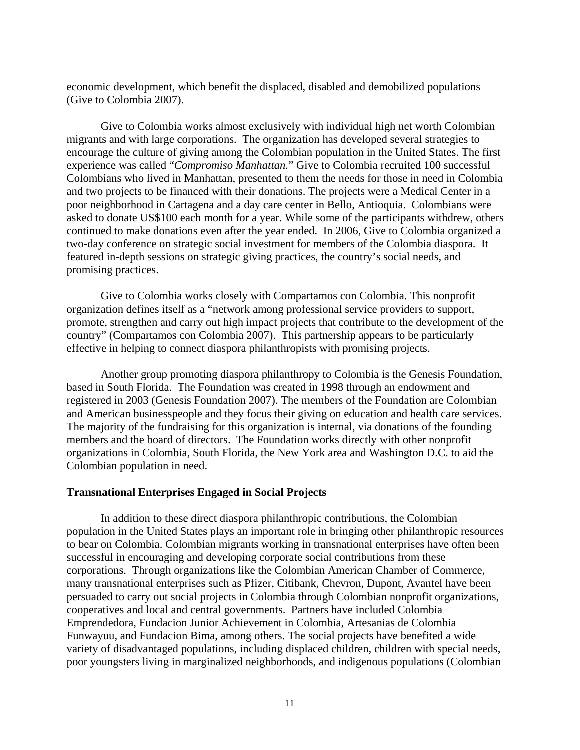economic development, which benefit the displaced, disabled and demobilized populations (Give to Colombia 2007).

Give to Colombia works almost exclusively with individual high net worth Colombian migrants and with large corporations. The organization has developed several strategies to encourage the culture of giving among the Colombian population in the United States. The first experience was called "*Compromiso Manhattan.*" Give to Colombia recruited 100 successful Colombians who lived in Manhattan, presented to them the needs for those in need in Colombia and two projects to be financed with their donations. The projects were a Medical Center in a poor neighborhood in Cartagena and a day care center in Bello, Antioquia. Colombians were asked to donate US\$100 each month for a year. While some of the participants withdrew, others continued to make donations even after the year ended. In 2006, Give to Colombia organized a two-day conference on strategic social investment for members of the Colombia diaspora. It featured in-depth sessions on strategic giving practices, the country's social needs, and promising practices.

Give to Colombia works closely with Compartamos con Colombia. This nonprofit organization defines itself as a "network among professional service providers to support, promote, strengthen and carry out high impact projects that contribute to the development of the country" (Compartamos con Colombia 2007). This partnership appears to be particularly effective in helping to connect diaspora philanthropists with promising projects.

Another group promoting diaspora philanthropy to Colombia is the Genesis Foundation, based in South Florida. The Foundation was created in 1998 through an endowment and registered in 2003 (Genesis Foundation 2007). The members of the Foundation are Colombian and American businesspeople and they focus their giving on education and health care services. The majority of the fundraising for this organization is internal, via donations of the founding members and the board of directors. The Foundation works directly with other nonprofit organizations in Colombia, South Florida, the New York area and Washington D.C. to aid the Colombian population in need.

#### **Transnational Enterprises Engaged in Social Projects**

In addition to these direct diaspora philanthropic contributions, the Colombian population in the United States plays an important role in bringing other philanthropic resources to bear on Colombia. Colombian migrants working in transnational enterprises have often been successful in encouraging and developing corporate social contributions from these corporations. Through organizations like the Colombian American Chamber of Commerce, many transnational enterprises such as Pfizer, Citibank, Chevron, Dupont, Avantel have been persuaded to carry out social projects in Colombia through Colombian nonprofit organizations, cooperatives and local and central governments. Partners have included Colombia Emprendedora, Fundacion Junior Achievement in Colombia, Artesanias de Colombia Funwayuu, and Fundacion Bima, among others. The social projects have benefited a wide variety of disadvantaged populations, including displaced children, children with special needs, poor youngsters living in marginalized neighborhoods, and indigenous populations (Colombian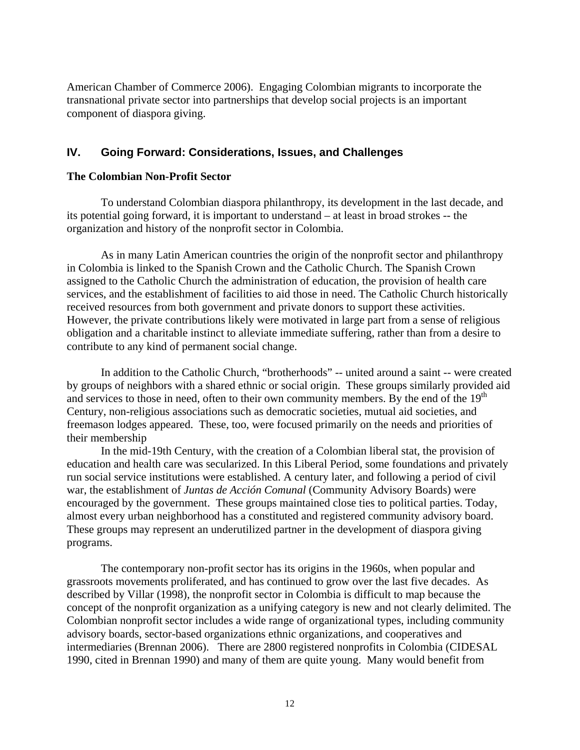American Chamber of Commerce 2006). Engaging Colombian migrants to incorporate the transnational private sector into partnerships that develop social projects is an important component of diaspora giving.

### **IV. Going Forward: Considerations, Issues, and Challenges**

#### **The Colombian Non-Profit Sector**

To understand Colombian diaspora philanthropy, its development in the last decade, and its potential going forward, it is important to understand – at least in broad strokes -- the organization and history of the nonprofit sector in Colombia.

As in many Latin American countries the origin of the nonprofit sector and philanthropy in Colombia is linked to the Spanish Crown and the Catholic Church. The Spanish Crown assigned to the Catholic Church the administration of education, the provision of health care services, and the establishment of facilities to aid those in need. The Catholic Church historically received resources from both government and private donors to support these activities. However, the private contributions likely were motivated in large part from a sense of religious obligation and a charitable instinct to alleviate immediate suffering, rather than from a desire to contribute to any kind of permanent social change.

In addition to the Catholic Church, "brotherhoods" -- united around a saint -- were created by groups of neighbors with a shared ethnic or social origin. These groups similarly provided aid and services to those in need, often to their own community members. By the end of the  $19<sup>th</sup>$ Century, non-religious associations such as democratic societies, mutual aid societies, and freemason lodges appeared. These, too, were focused primarily on the needs and priorities of their membership

In the mid-19th Century, with the creation of a Colombian liberal stat, the provision of education and health care was secularized. In this Liberal Period, some foundations and privately run social service institutions were established. A century later, and following a period of civil war, the establishment of *Juntas de Acción Comunal* (Community Advisory Boards) were encouraged by the government. These groups maintained close ties to political parties. Today, almost every urban neighborhood has a constituted and registered community advisory board. These groups may represent an underutilized partner in the development of diaspora giving programs.

The contemporary non-profit sector has its origins in the 1960s, when popular and grassroots movements proliferated, and has continued to grow over the last five decades. As described by Villar (1998), the nonprofit sector in Colombia is difficult to map because the concept of the nonprofit organization as a unifying category is new and not clearly delimited. The Colombian nonprofit sector includes a wide range of organizational types, including community advisory boards, sector-based organizations ethnic organizations, and cooperatives and intermediaries (Brennan 2006). There are 2800 registered nonprofits in Colombia (CIDESAL 1990, cited in Brennan 1990) and many of them are quite young. Many would benefit from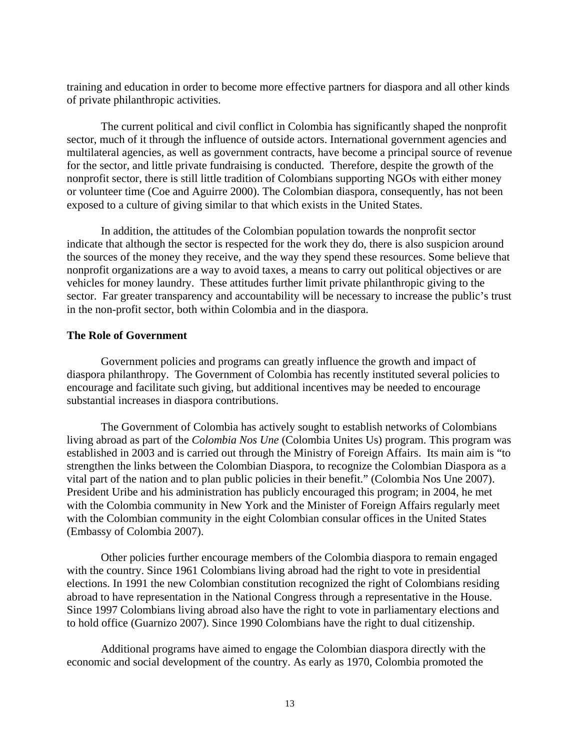training and education in order to become more effective partners for diaspora and all other kinds of private philanthropic activities.

The current political and civil conflict in Colombia has significantly shaped the nonprofit sector, much of it through the influence of outside actors. International government agencies and multilateral agencies, as well as government contracts, have become a principal source of revenue for the sector, and little private fundraising is conducted. Therefore, despite the growth of the nonprofit sector, there is still little tradition of Colombians supporting NGOs with either money or volunteer time (Coe and Aguirre 2000). The Colombian diaspora, consequently, has not been exposed to a culture of giving similar to that which exists in the United States.

In addition, the attitudes of the Colombian population towards the nonprofit sector indicate that although the sector is respected for the work they do, there is also suspicion around the sources of the money they receive, and the way they spend these resources. Some believe that nonprofit organizations are a way to avoid taxes, a means to carry out political objectives or are vehicles for money laundry. These attitudes further limit private philanthropic giving to the sector. Far greater transparency and accountability will be necessary to increase the public's trust in the non-profit sector, both within Colombia and in the diaspora.

#### **The Role of Government**

Government policies and programs can greatly influence the growth and impact of diaspora philanthropy. The Government of Colombia has recently instituted several policies to encourage and facilitate such giving, but additional incentives may be needed to encourage substantial increases in diaspora contributions.

The Government of Colombia has actively sought to establish networks of Colombians living abroad as part of the *Colombia Nos Une* (Colombia Unites Us) program. This program was established in 2003 and is carried out through the Ministry of Foreign Affairs. Its main aim is "to strengthen the links between the Colombian Diaspora, to recognize the Colombian Diaspora as a vital part of the nation and to plan public policies in their benefit." (Colombia Nos Une 2007). President Uribe and his administration has publicly encouraged this program; in 2004, he met with the Colombia community in New York and the Minister of Foreign Affairs regularly meet with the Colombian community in the eight Colombian consular offices in the United States (Embassy of Colombia 2007).

Other policies further encourage members of the Colombia diaspora to remain engaged with the country. Since 1961 Colombians living abroad had the right to vote in presidential elections. In 1991 the new Colombian constitution recognized the right of Colombians residing abroad to have representation in the National Congress through a representative in the House. Since 1997 Colombians living abroad also have the right to vote in parliamentary elections and to hold office (Guarnizo 2007). Since 1990 Colombians have the right to dual citizenship.

Additional programs have aimed to engage the Colombian diaspora directly with the economic and social development of the country. As early as 1970, Colombia promoted the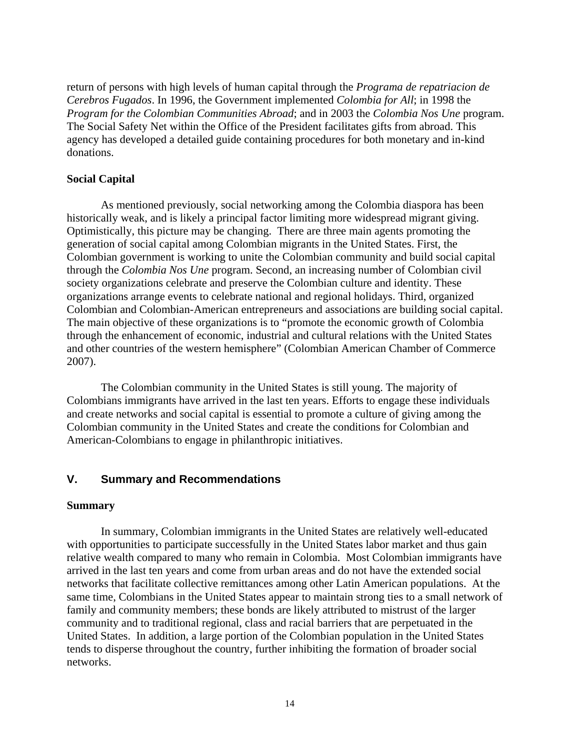return of persons with high levels of human capital through the *Programa de repatriacion de Cerebros Fugados*. In 1996, the Government implemented *Colombia for All*; in 1998 the *Program for the Colombian Communities Abroad*; and in 2003 the *Colombia Nos Une* program. The Social Safety Net within the Office of the President facilitates gifts from abroad. This agency has developed a detailed guide containing procedures for both monetary and in-kind donations.

#### **Social Capital**

As mentioned previously, social networking among the Colombia diaspora has been historically weak, and is likely a principal factor limiting more widespread migrant giving. Optimistically, this picture may be changing. There are three main agents promoting the generation of social capital among Colombian migrants in the United States. First, the Colombian government is working to unite the Colombian community and build social capital through the *Colombia Nos Une* program. Second, an increasing number of Colombian civil society organizations celebrate and preserve the Colombian culture and identity. These organizations arrange events to celebrate national and regional holidays. Third, organized Colombian and Colombian-American entrepreneurs and associations are building social capital. The main objective of these organizations is to "promote the economic growth of Colombia through the enhancement of economic, industrial and cultural relations with the United States and other countries of the western hemisphere" (Colombian American Chamber of Commerce 2007).

The Colombian community in the United States is still young. The majority of Colombians immigrants have arrived in the last ten years. Efforts to engage these individuals and create networks and social capital is essential to promote a culture of giving among the Colombian community in the United States and create the conditions for Colombian and American-Colombians to engage in philanthropic initiatives.

#### **V. Summary and Recommendations**

#### **Summary**

In summary, Colombian immigrants in the United States are relatively well-educated with opportunities to participate successfully in the United States labor market and thus gain relative wealth compared to many who remain in Colombia. Most Colombian immigrants have arrived in the last ten years and come from urban areas and do not have the extended social networks that facilitate collective remittances among other Latin American populations. At the same time, Colombians in the United States appear to maintain strong ties to a small network of family and community members; these bonds are likely attributed to mistrust of the larger community and to traditional regional, class and racial barriers that are perpetuated in the United States. In addition, a large portion of the Colombian population in the United States tends to disperse throughout the country, further inhibiting the formation of broader social networks.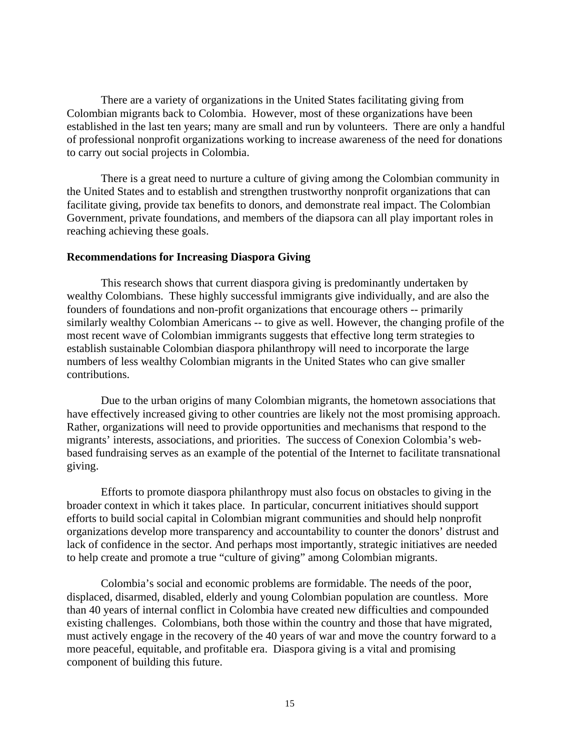There are a variety of organizations in the United States facilitating giving from Colombian migrants back to Colombia. However, most of these organizations have been established in the last ten years; many are small and run by volunteers. There are only a handful of professional nonprofit organizations working to increase awareness of the need for donations to carry out social projects in Colombia.

There is a great need to nurture a culture of giving among the Colombian community in the United States and to establish and strengthen trustworthy nonprofit organizations that can facilitate giving, provide tax benefits to donors, and demonstrate real impact. The Colombian Government, private foundations, and members of the diapsora can all play important roles in reaching achieving these goals.

#### **Recommendations for Increasing Diaspora Giving**

 This research shows that current diaspora giving is predominantly undertaken by wealthy Colombians. These highly successful immigrants give individually, and are also the founders of foundations and non-profit organizations that encourage others -- primarily similarly wealthy Colombian Americans -- to give as well. However, the changing profile of the most recent wave of Colombian immigrants suggests that effective long term strategies to establish sustainable Colombian diaspora philanthropy will need to incorporate the large numbers of less wealthy Colombian migrants in the United States who can give smaller contributions.

Due to the urban origins of many Colombian migrants, the hometown associations that have effectively increased giving to other countries are likely not the most promising approach. Rather, organizations will need to provide opportunities and mechanisms that respond to the migrants' interests, associations, and priorities. The success of Conexion Colombia's webbased fundraising serves as an example of the potential of the Internet to facilitate transnational giving.

 Efforts to promote diaspora philanthropy must also focus on obstacles to giving in the broader context in which it takes place. In particular, concurrent initiatives should support efforts to build social capital in Colombian migrant communities and should help nonprofit organizations develop more transparency and accountability to counter the donors' distrust and lack of confidence in the sector. And perhaps most importantly, strategic initiatives are needed to help create and promote a true "culture of giving" among Colombian migrants.

Colombia's social and economic problems are formidable. The needs of the poor, displaced, disarmed, disabled, elderly and young Colombian population are countless. More than 40 years of internal conflict in Colombia have created new difficulties and compounded existing challenges. Colombians, both those within the country and those that have migrated, must actively engage in the recovery of the 40 years of war and move the country forward to a more peaceful, equitable, and profitable era. Diaspora giving is a vital and promising component of building this future.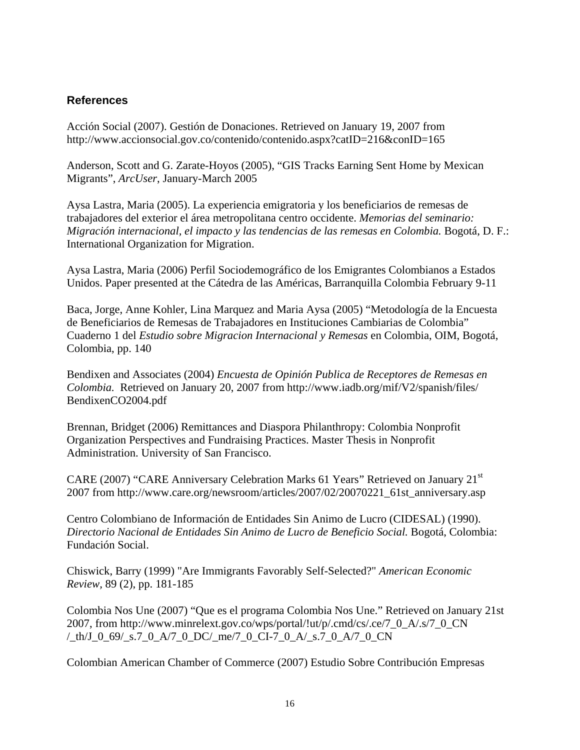# **References**

Acción Social (2007). Gestión de Donaciones. Retrieved on January 19, 2007 from http://www.accionsocial.gov.co/contenido/contenido.aspx?catID=216&conID=165

Anderson, Scott and G. Zarate-Hoyos (2005), "GIS Tracks Earning Sent Home by Mexican Migrants", *ArcUser*, January-March 2005

Aysa Lastra, Maria (2005). La experiencia emigratoria y los beneficiarios de remesas de trabajadores del exterior el área metropolitana centro occidente. *Memorias del seminario: Migración internacional, el impacto y las tendencias de las remesas en Colombia.* Bogotá, D. F.: International Organization for Migration.

Aysa Lastra, Maria (2006) Perfil Sociodemográfico de los Emigrantes Colombianos a Estados Unidos. Paper presented at the Cátedra de las Américas, Barranquilla Colombia February 9-11

Baca, Jorge, Anne Kohler, Lina Marquez and Maria Aysa (2005) "Metodología de la Encuesta de Beneficiarios de Remesas de Trabajadores en Instituciones Cambiarias de Colombia" Cuaderno 1 del *Estudio sobre Migracion Internacional y Remesas* en Colombia, OIM, Bogotá, Colombia, pp. 140

Bendixen and Associates (2004) *Encuesta de Opinión Publica de Receptores de Remesas en Colombia.* Retrieved on January 20, 2007 from http://www.iadb.org/mif/V2/spanish/files/ BendixenCO2004.pdf

Brennan, Bridget (2006) Remittances and Diaspora Philanthropy: Colombia Nonprofit Organization Perspectives and Fundraising Practices. Master Thesis in Nonprofit Administration. University of San Francisco.

CARE (2007) "CARE Anniversary Celebration Marks 61 Years" Retrieved on January 21st 2007 from http://www.care.org/newsroom/articles/2007/02/20070221\_61st\_anniversary.asp

Centro Colombiano de Información de Entidades Sin Animo de Lucro (CIDESAL) (1990). *Directorio Nacional de Entidades Sin Animo de Lucro de Beneficio Social.* Bogotá, Colombia: Fundación Social.

Chiswick, Barry (1999) "Are Immigrants Favorably Self-Selected?" *American Economic Review,* 89 (2), pp. 181-185

Colombia Nos Une (2007) "Que es el programa Colombia Nos Une." Retrieved on January 21st 2007, from http://www.minrelext.gov.co/wps/portal/!ut/p/.cmd/cs/.ce/7\_0\_A/.s/7\_0\_CN /\_th/J\_0\_69/\_s.7\_0\_A/7\_0\_DC/\_me/7\_0\_CI-7\_0\_A/\_s.7\_0\_A/7\_0\_CN

Colombian American Chamber of Commerce (2007) Estudio Sobre Contribución Empresas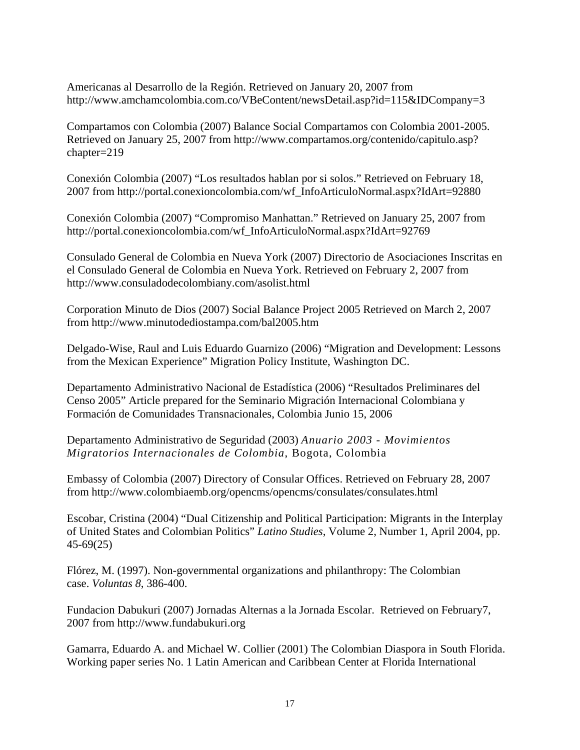Americanas al Desarrollo de la Región. Retrieved on January 20, 2007 from http://www.amchamcolombia.com.co/VBeContent/newsDetail.asp?id=115&IDCompany=3

Compartamos con Colombia (2007) Balance Social Compartamos con Colombia 2001-2005. Retrieved on January 25, 2007 from http://www.compartamos.org/contenido/capitulo.asp? chapter=219

Conexión Colombia (2007) "Los resultados hablan por si solos." Retrieved on February 18, 2007 from http://portal.conexioncolombia.com/wf\_InfoArticuloNormal.aspx?IdArt=92880

Conexión Colombia (2007) "Compromiso Manhattan." Retrieved on January 25, 2007 from http://portal.conexioncolombia.com/wf\_InfoArticuloNormal.aspx?IdArt=92769

Consulado General de Colombia en Nueva York (2007) Directorio de Asociaciones Inscritas en el Consulado General de Colombia en Nueva York. Retrieved on February 2, 2007 from http://www.consuladodecolombiany.com/asolist.html

Corporation Minuto de Dios (2007) Social Balance Project 2005 Retrieved on March 2, 2007 from http://www.minutodediostampa.com/bal2005.htm

Delgado-Wise, Raul and Luis Eduardo Guarnizo (2006) "Migration and Development: Lessons from the Mexican Experience" Migration Policy Institute, Washington DC.

Departamento Administrativo Nacional de Estadística (2006) "Resultados Preliminares del Censo 2005" Article prepared for the Seminario Migración Internacional Colombiana y Formación de Comunidades Transnacionales, Colombia Junio 15, 2006

Departamento Administrativo de Seguridad (2003) *Anuario 2003 - Movimientos Migratorios Internacionales de Colombia*, Bogota, Colombia

Embassy of Colombia (2007) Directory of Consular Offices. Retrieved on February 28, 2007 from http://www.colombiaemb.org/opencms/opencms/consulates/consulates.html

Escobar, Cristina (2004) "Dual Citizenship and Political Participation: Migrants in the Interplay of United States and Colombian Politics" *Latino Studies*, Volume 2, Number 1, April 2004, pp. 45-69(25)

Flórez, M. (1997). Non-governmental organizations and philanthropy: The Colombian case. *Voluntas 8*, 386-400.

Fundacion Dabukuri (2007) Jornadas Alternas a la Jornada Escolar. Retrieved on February7, 2007 from http://www.fundabukuri.org

Gamarra, Eduardo A. and Michael W. Collier (2001) The Colombian Diaspora in South Florida. Working paper series No. 1 Latin American and Caribbean Center at Florida International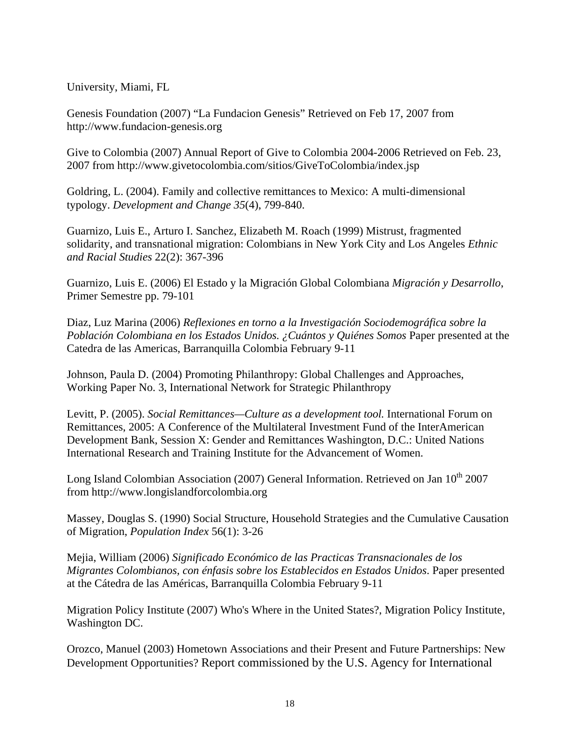University, Miami, FL

Genesis Foundation (2007) "La Fundacion Genesis" Retrieved on Feb 17, 2007 from http://www.fundacion-genesis.org

Give to Colombia (2007) Annual Report of Give to Colombia 2004-2006 Retrieved on Feb. 23, 2007 from http://www.givetocolombia.com/sitios/GiveToColombia/index.jsp

Goldring, L. (2004). Family and collective remittances to Mexico: A multi-dimensional typology. *Development and Change 35*(4), 799-840.

Guarnizo, Luis E., Arturo I. Sanchez, Elizabeth M. Roach (1999) Mistrust, fragmented solidarity, and transnational migration: Colombians in New York City and Los Angeles *Ethnic and Racial Studies* 22(2): 367-396

Guarnizo, Luis E. (2006) El Estado y la Migración Global Colombiana *Migración y Desarrollo*, Primer Semestre pp. 79-101

Diaz, Luz Marina (2006) *Reflexiones en torno a la Investigación Sociodemográfica sobre la Población Colombiana en los Estados Unidos. ¿Cuántos y Quiénes Somos* Paper presented at the Catedra de las Americas, Barranquilla Colombia February 9-11

Johnson, Paula D. (2004) Promoting Philanthropy: Global Challenges and Approaches, Working Paper No. 3, International Network for Strategic Philanthropy

Levitt, P. (2005). *Social Remittances—Culture as a development tool.* International Forum on Remittances, 2005: A Conference of the Multilateral Investment Fund of the InterAmerican Development Bank, Session X: Gender and Remittances Washington, D.C.: United Nations International Research and Training Institute for the Advancement of Women.

Long Island Colombian Association (2007) General Information. Retrieved on Jan  $10^{th}$  2007 from http://www.longislandforcolombia.org

Massey, Douglas S. (1990) Social Structure, Household Strategies and the Cumulative Causation of Migration, *Population Index* 56(1): 3-26

Mejia, William (2006) *Significado Económico de las Practicas Transnacionales de los Migrantes Colombianos, con énfasis sobre los Establecidos en Estados Unidos*. Paper presented at the Cátedra de las Américas, Barranquilla Colombia February 9-11

Migration Policy Institute (2007) Who's Where in the United States?, Migration Policy Institute, Washington DC.

Orozco, Manuel (2003) Hometown Associations and their Present and Future Partnerships: New Development Opportunities? Report commissioned by the U.S. Agency for International